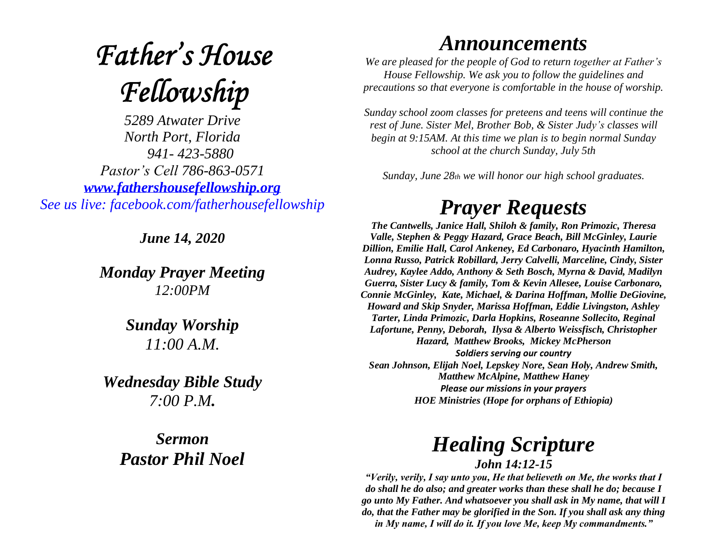# **Father's House** Fellowship

*5289 Atwater Drive North Port, Florida 941- 423-5880 Pastor's Cell 786-863-0571 [www.fathershousefellowship.org](http://www.fathershousefellowship.org/) See us live: facebook.com/fatherhousefellowship*

*June 14, 2020*

*Monday Prayer Meeting 12:00PM*

### *Sunday Worship 11:00 A.M.*

*Wednesday Bible Study 7:00 P.M.*

*Sermon Pastor Phil Noel*

### *Announcements*

*We are pleased for the people of God to return together at Father's House Fellowship. We ask you to follow the guidelines and precautions so that everyone is comfortable in the house of worship.*

*Sunday school zoom classes for preteens and teens will continue the rest of June. Sister Mel, Brother Bob, & Sister Judy's classes will begin at 9:15AM. At this time we plan is to begin normal Sunday school at the church Sunday, July 5th*

*Sunday, June 28th we will honor our high school graduates.*

## *Prayer Requests*

*The Cantwells, Janice Hall, Shiloh & family, Ron Primozic, Theresa Valle, Stephen & Peggy Hazard, Grace Beach, Bill McGinley, Laurie Dillion, Emilie Hall, Carol Ankeney, Ed Carbonaro, Hyacinth Hamilton, Lonna Russo, Patrick Robillard, Jerry Calvelli, Marceline, Cindy, Sister Audrey, Kaylee Addo, Anthony & Seth Bosch, Myrna & David, Madilyn Guerra, Sister Lucy & family, Tom & Kevin Allesee, Louise Carbonaro, Connie McGinley, Kate, Michael, & Darina Hoffman, Mollie DeGiovine, Howard and Skip Snyder, Marissa Hoffman, Eddie Livingston, Ashley Tarter, Linda Primozic, Darla Hopkins, Roseanne Sollecito, Reginal Lafortune, Penny, Deborah, Ilysa & Alberto Weissfisch, Christopher Hazard, Matthew Brooks, Mickey McPherson Soldiers serving our country Sean Johnson, Elijah Noel, Lepskey Nore, Sean Holy, Andrew Smith, Matthew McAlpine, Matthew Haney Please our missions in your prayers HOE Ministries (Hope for orphans of Ethiopia)*

### *Healing Scripture John 14:12-15*

*"Verily, verily, I say unto you, He that believeth on Me, the works that I do shall he do also; and greater works than these shall he do; because I go unto My Father. And whatsoever you shall ask in My name, that will I do, that the Father may be glorified in the Son. If you shall ask any thing in My name, I will do it. If you love Me, keep My commandments."*